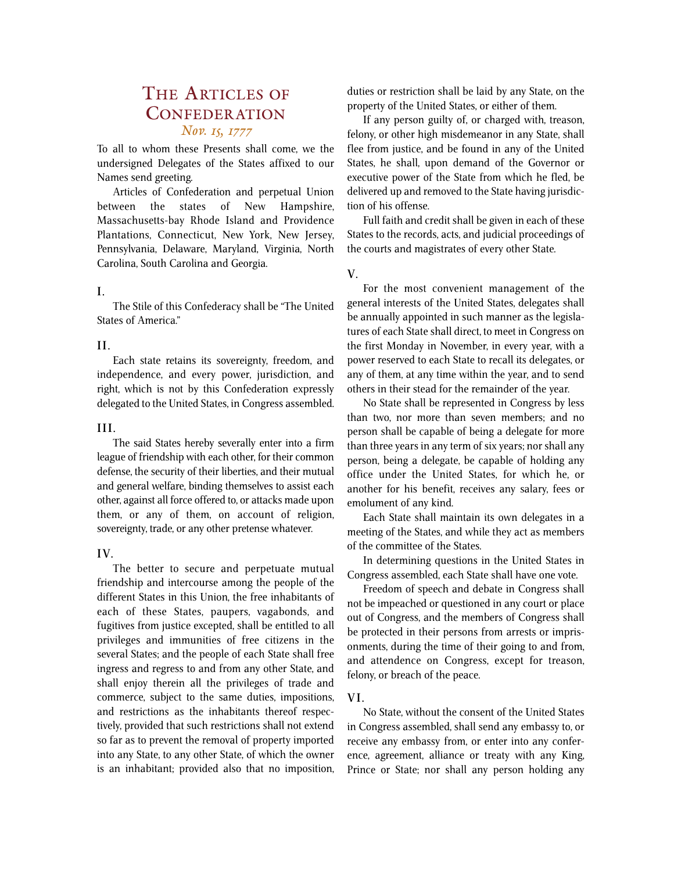# THE ARTICLES OF **CONFEDERATION** *Nov. 15, 1777*

To all to whom these Presents shall come, we the undersigned Delegates of the States affixed to our Names send greeting.

Articles of Confederation and perpetual Union between the states of New Hampshire, Massachusetts-bay Rhode Island and Providence Plantations, Connecticut, New York, New Jersey, Pennsylvania, Delaware, Maryland, Virginia, North Carolina, South Carolina and Georgia.

# **I .**

The Stile of this Confederacy shall be "The United States of America."

## **II.**

Each state retains its sovereignty, freedom, and independence, and every power, jurisdiction, and right, which is not by this Confederation expressly delegated to the United States, in Congress assembled.

## **III.**

The said States hereby severally enter into a firm league of friendship with each other, for their common defense, the security of their liberties, and their mutual and general welfare, binding themselves to assist each other, against all force offered to, or attacks made upon them, or any of them, on account of religion, sovereignty, trade, or any other pretense whatever.

# **IV.**

The better to secure and perpetuate mutual friendship and intercourse among the people of the different States in this Union, the free inhabitants of each of these States, paupers, vagabonds, and fugitives from justice excepted, shall be entitled to all privileges and immunities of free citizens in the several States; and the people of each State shall free ingress and regress to and from any other State, and shall enjoy therein all the privileges of trade and commerce, subject to the same duties, impositions, and restrictions as the inhabitants thereof respectively, provided that such restrictions shall not extend so far as to prevent the removal of property imported into any State, to any other State, of which the owner is an inhabitant; provided also that no imposition, duties or restriction shall be laid by any State, on the property of the United States, or either of them.

If any person guilty of, or charged with, treason, felony, or other high misdemeanor in any State, shall flee from justice, and be found in any of the United States, he shall, upon demand of the Governor or executive power of the State from which he fled, be delivered up and removed to the State having jurisdiction of his offense.

Full faith and credit shall be given in each of these States to the records, acts, and judicial proceedings of the courts and magistrates of every other State.

#### **V.**

For the most convenient management of the general interests of the United States, delegates shall be annually appointed in such manner as the legislatures of each State shall direct, to meet in Congress on the first Monday in November, in every year, with a power reserved to each State to recall its delegates, or any of them, at any time within the year, and to send others in their stead for the remainder of the year.

No State shall be represented in Congress by less than two, nor more than seven members; and no person shall be capable of being a delegate for more than three years in any term of six years; nor shall any person, being a delegate, be capable of holding any office under the United States, for which he, or another for his benefit, receives any salary, fees or emolument of any kind.

Each State shall maintain its own delegates in a meeting of the States, and while they act as members of the committee of the States.

In determining questions in the United States in Congress assembled, each State shall have one vote.

Freedom of speech and debate in Congress shall not be impeached or questioned in any court or place out of Congress, and the members of Congress shall be protected in their persons from arrests or imprisonments, during the time of their going to and from, and attendence on Congress, except for treason, felony, or breach of the peace.

# **VI.**

No State, without the consent of the United States in Congress assembled, shall send any embassy to, or receive any embassy from, or enter into any conference, agreement, alliance or treaty with any King, Prince or State; nor shall any person holding any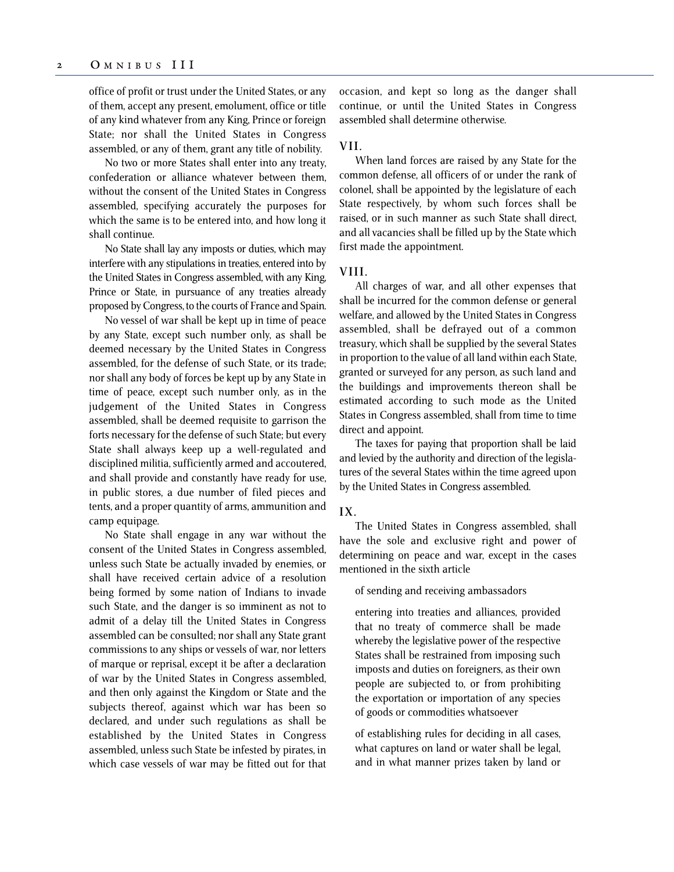office of profit or trust under the United States, or any of them, accept any present, emolument, office or title of any kind whatever from any King, Prince or foreign State; nor shall the United States in Congress assembled, or any of them, grant any title of nobility.

No two or more States shall enter into any treaty, confederation or alliance whatever between them, without the consent of the United States in Congress assembled, specifying accurately the purposes for which the same is to be entered into, and how long it shall continue.

No State shall lay any imposts or duties, which may interfere with any stipulations in treaties, entered into by the United States in Congress assembled, with any King, Prince or State, in pursuance of any treaties already proposed by Congress, to the courts of France and Spain.

No vessel of war shall be kept up in time of peace by any State, except such number only, as shall be deemed necessary by the United States in Congress assembled, for the defense of such State, or its trade; nor shall any body of forces be kept up by any State in time of peace, except such number only, as in the judgement of the United States in Congress assembled, shall be deemed requisite to garrison the forts necessary for the defense of such State; but every State shall always keep up a well-regulated and disciplined militia, sufficiently armed and accoutered, and shall provide and constantly have ready for use, in public stores, a due number of filed pieces and tents, and a proper quantity of arms, ammunition and camp equipage.

No State shall engage in any war without the consent of the United States in Congress assembled, unless such State be actually invaded by enemies, or shall have received certain advice of a resolution being formed by some nation of Indians to invade such State, and the danger is so imminent as not to admit of a delay till the United States in Congress assembled can be consulted; nor shall any State grant commissions to any ships or vessels of war, nor letters of marque or reprisal, except it be after a declaration of war by the United States in Congress assembled, and then only against the Kingdom or State and the subjects thereof, against which war has been so declared, and under such regulations as shall be established by the United States in Congress assembled, unless such State be infested by pirates, in which case vessels of war may be fitted out for that occasion, and kept so long as the danger shall continue, or until the United States in Congress assembled shall determine otherwise.

## **VII.**

When land forces are raised by any State for the common defense, all officers of or under the rank of colonel, shall be appointed by the legislature of each State respectively, by whom such forces shall be raised, or in such manner as such State shall direct, and all vacancies shall be filled up by the State which first made the appointment.

#### **VIII.**

All charges of war, and all other expenses that shall be incurred for the common defense or general welfare, and allowed by the United States in Congress assembled, shall be defrayed out of a common treasury, which shall be supplied by the several States in proportion to the value of all land within each State, granted or surveyed for any person, as such land and the buildings and improvements thereon shall be estimated according to such mode as the United States in Congress assembled, shall from time to time direct and appoint.

The taxes for paying that proportion shall be laid and levied by the authority and direction of the legislatures of the several States within the time agreed upon by the United States in Congress assembled.

#### **IX.**

The United States in Congress assembled, shall have the sole and exclusive right and power of determining on peace and war, except in the cases mentioned in the sixth article

of sending and receiving ambassadors

entering into treaties and alliances, provided that no treaty of commerce shall be made whereby the legislative power of the respective States shall be restrained from imposing such imposts and duties on foreigners, as their own people are subjected to, or from prohibiting the exportation or importation of any species of goods or commodities whatsoever

of establishing rules for deciding in all cases, what captures on land or water shall be legal, and in what manner prizes taken by land or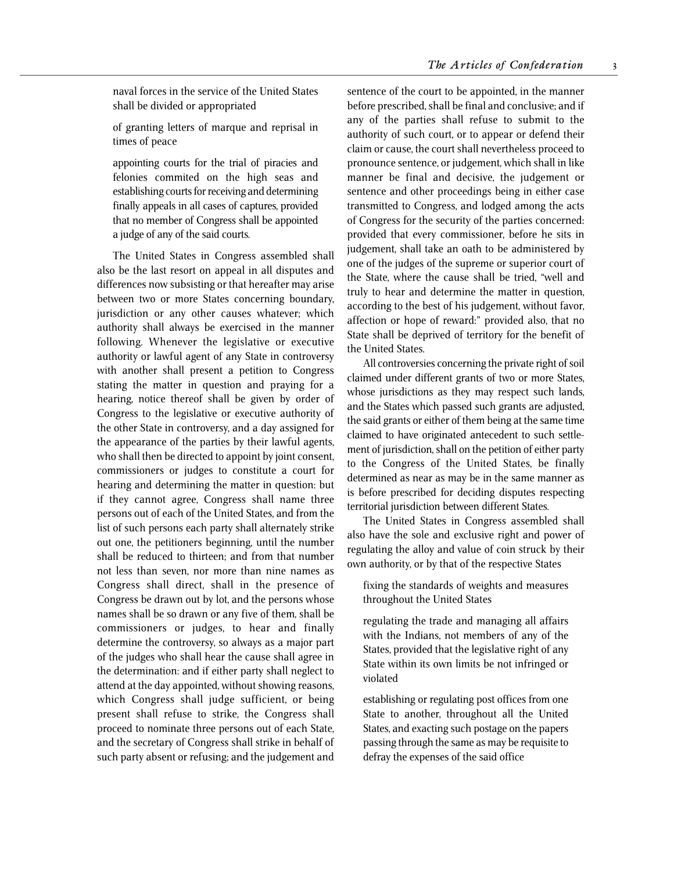naval forces in the service of the United States shall be divided or appropriated

of granting letters of marque and reprisal in times of peace

appointing courts for the trial of piracies and felonies commited on the high seas and establishing courts for receiving and determining finally appeals in all cases of captures, provided that no member of Congress shall be appointed a judge of any of the said courts.

The United States in Congress assembled shall also be the last resort on appeal in all disputes and differences now subsisting or that hereafter may arise between two or more States concerning boundary, jurisdiction or any other causes whatever; which authority shall always be exercised in the manner following. Whenever the legislative or executive authority or lawful agent of any State in controversy with another shall present a petition to Congress stating the matter in question and praying for a hearing, notice thereof shall be given by order of Congress to the legislative or executive authority of the other State in controversy, and a day assigned for the appearance of the parties by their lawful agents, who shall then be directed to appoint by joint consent, commissioners or judges to constitute a court for hearing and determining the matter in question: but if they cannot agree, Congress shall name three persons out of each of the United States, and from the list of such persons each party shall alternately strike out one, the petitioners beginning, until the number shall be reduced to thirteen; and from that number not less than seven, nor more than nine names as Congress shall direct, shall in the presence of Congress be drawn out by lot, and the persons whose names shall be so drawn or any five of them, shall be commissioners or judges, to hear and finally determine the controversy, so always as a major part of the judges who shall hear the cause shall agree in the determination: and if either party shall neglect to attend at the day appointed, without showing reasons, which Congress shall judge sufficient, or being present shall refuse to strike, the Congress shall proceed to nominate three persons out of each State, and the secretary of Congress shall strike in behalf of such party absent or refusing; and the judgement and

sentence of the court to be appointed, in the manner before prescribed, shall be final and conclusive; and if any of the parties shall refuse to submit to the authority of such court, or to appear or defend their claim or cause, the court shall nevertheless proceed to pronounce sentence, or judgement, which shall in like manner be final and decisive, the judgement or sentence and other proceedings being in either case transmitted to Congress, and lodged among the acts of Congress for the security of the parties concerned: provided that every commissioner, before he sits in judgement, shall take an oath to be administered by one of the judges of the supreme or superior court of the State, where the cause shall be tried, "well and truly to hear and determine the matter in question, according to the best of his judgement, without favor, affection or hope of reward:" provided also, that no State shall be deprived of territory for the benefit of the United States.

All controversies concerning the private right of soil claimed under different grants of two or more States, whose jurisdictions as they may respect such lands, and the States which passed such grants are adjusted, the said grants or either of them being at the same time claimed to have originated antecedent to such settlement of jurisdiction, shall on the petition of either party to the Congress of the United States, be finally determined as near as may be in the same manner as is before prescribed for deciding disputes respecting territorial jurisdiction between different States.

The United States in Congress assembled shall also have the sole and exclusive right and power of regulating the alloy and value of coin struck by their own authority, or by that of the respective States

fixing the standards of weights and measures throughout the United States

regulating the trade and managing all affairs with the Indians, not members of any of the States, provided that the legislative right of any State within its own limits be not infringed or violated

establishing or regulating post offices from one State to another, throughout all the United States, and exacting such postage on the papers passing through the same as may be requisite to defray the expenses of the said office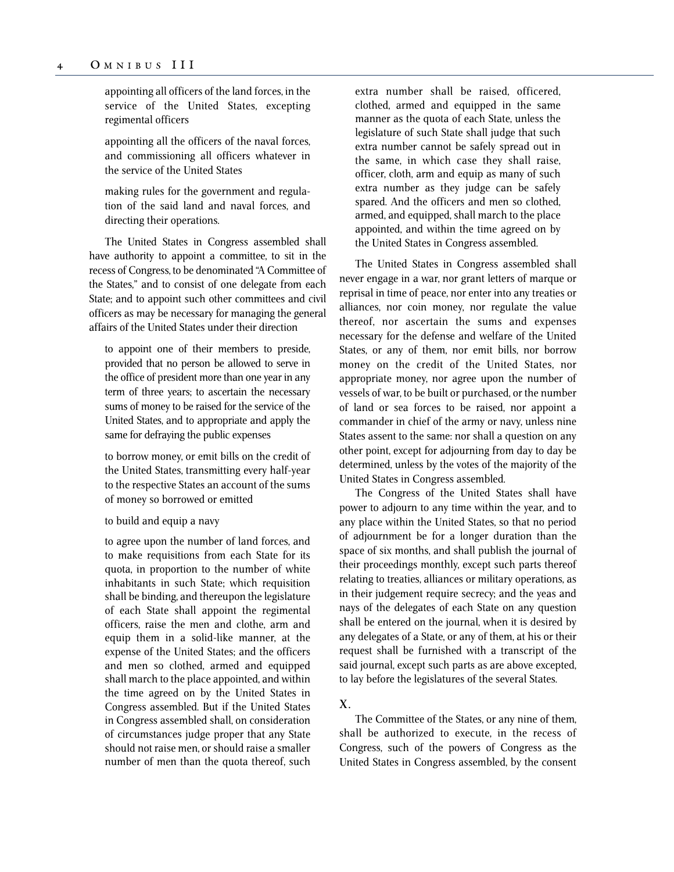appointing all officers of the land forces, in the service of the United States, excepting regimental officers

appointing all the officers of the naval forces, and commissioning all officers whatever in the service of the United States

making rules for the government and regulation of the said land and naval forces, and directing their operations.

The United States in Congress assembled shall have authority to appoint a committee, to sit in the recess of Congress, to be denominated "A Committee of the States," and to consist of one delegate from each State; and to appoint such other committees and civil officers as may be necessary for managing the general affairs of the United States under their direction

to appoint one of their members to preside, provided that no person be allowed to serve in the office of president more than one year in any term of three years; to ascertain the necessary sums of money to be raised for the service of the United States, and to appropriate and apply the same for defraying the public expenses

to borrow money, or emit bills on the credit of the United States, transmitting every half-year to the respective States an account of the sums of money so borrowed or emitted

to build and equip a navy

to agree upon the number of land forces, and to make requisitions from each State for its quota, in proportion to the number of white inhabitants in such State; which requisition shall be binding, and thereupon the legislature of each State shall appoint the regimental officers, raise the men and clothe, arm and equip them in a solid-like manner, at the expense of the United States; and the officers and men so clothed, armed and equipped shall march to the place appointed, and within the time agreed on by the United States in Congress assembled. But if the United States in Congress assembled shall, on consideration of circumstances judge proper that any State should not raise men, or should raise a smaller number of men than the quota thereof, such extra number shall be raised, officered, clothed, armed and equipped in the same manner as the quota of each State, unless the legislature of such State shall judge that such extra number cannot be safely spread out in the same, in which case they shall raise, officer, cloth, arm and equip as many of such extra number as they judge can be safely spared. And the officers and men so clothed, armed, and equipped, shall march to the place appointed, and within the time agreed on by the United States in Congress assembled.

The United States in Congress assembled shall never engage in a war, nor grant letters of marque or reprisal in time of peace, nor enter into any treaties or alliances, nor coin money, nor regulate the value thereof, nor ascertain the sums and expenses necessary for the defense and welfare of the United States, or any of them, nor emit bills, nor borrow money on the credit of the United States, nor appropriate money, nor agree upon the number of vessels of war, to be built or purchased, or the number of land or sea forces to be raised, nor appoint a commander in chief of the army or navy, unless nine States assent to the same: nor shall a question on any other point, except for adjourning from day to day be determined, unless by the votes of the majority of the United States in Congress assembled.

The Congress of the United States shall have power to adjourn to any time within the year, and to any place within the United States, so that no period of adjournment be for a longer duration than the space of six months, and shall publish the journal of their proceedings monthly, except such parts thereof relating to treaties, alliances or military operations, as in their judgement require secrecy; and the yeas and nays of the delegates of each State on any question shall be entered on the journal, when it is desired by any delegates of a State, or any of them, at his or their request shall be furnished with a transcript of the said journal, except such parts as are above excepted, to lay before the legislatures of the several States.

# **X.**

The Committee of the States, or any nine of them, shall be authorized to execute, in the recess of Congress, such of the powers of Congress as the United States in Congress assembled, by the consent